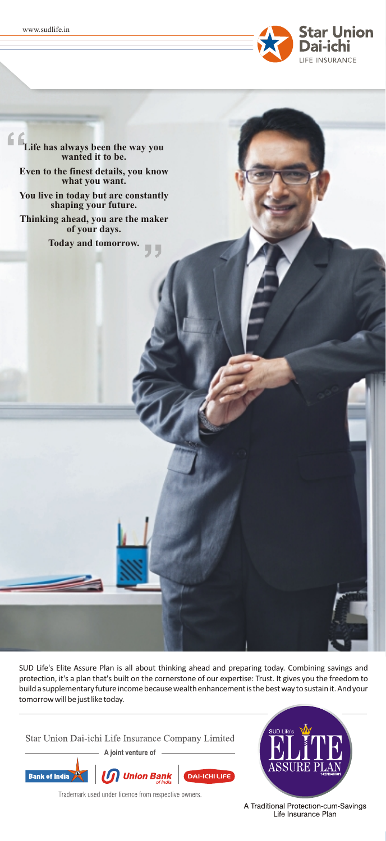

**Life has always been the way you wanted it to be. Even to the finest details, you know what you want. You live in today but are constantly shaping your future. Thinking ahead, you are the maker of your days. Today and tomorrow.** 44

SUD Life's Elite Assure Plan is all about thinking ahead and preparing today. Combining savings and protection, it's a plan that's built on the cornerstone of our expertise: Trust. It gives you the freedom to build a supplementary future income because wealth enhancement is the best way to sustain it. And your tomorrow will be just like today.

Star Union Dai-ichi Life Insurance Company Limited

A joint venture of





Trademark used under licence from respective owners.

A Traditional Protection-cum-Savings Life Insurance Plan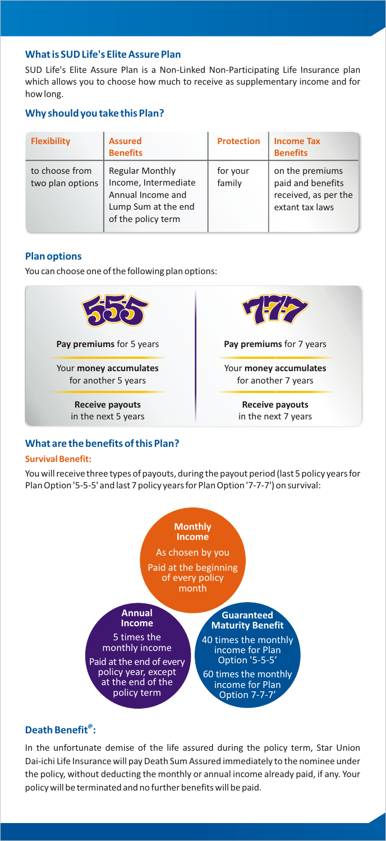# **What is SUD Life's Elite Assure Plan**

SUD Life's Elite Assure Plan is a Non-Linked Non-Participating Life Insurance plan which allows you to choose how much to receive as supplementary income and for how long.

# **Why should you take this Plan?**

| <b>Flexibility</b>                 | <b>Assured</b><br><b>Benefits</b>                                                                                | <b>Protection</b>  | <b>Income Tax</b><br><b>Benefits</b>                                            |
|------------------------------------|------------------------------------------------------------------------------------------------------------------|--------------------|---------------------------------------------------------------------------------|
| to choose from<br>two plan options | <b>Regular Monthly</b><br>Income, Intermediate<br>Annual Income and<br>Lump Sum at the end<br>of the policy term | for your<br>family | on the premiums<br>paid and benefits<br>received, as per the<br>extant tax laws |

# **Plan options**

You can choose one of the following plan options:



# **What are the benefits of this Plan?**

### **Survival Benefit:**

You will receive three types of payouts, during the payout period (last 5 policy years for Plan Option '5-5-5' and last 7 policy years for Plan Option '7-7-7') on survival:



# **@ Death Benefit :**

In the unfortunate demise of the life assured during the policy term, Star Union Dai-ichi Life Insurance will pay Death Sum Assured immediately to the nominee under the policy, without deducting the monthly or annual income already paid, if any. Your policy will be terminated and no further benefits will be paid.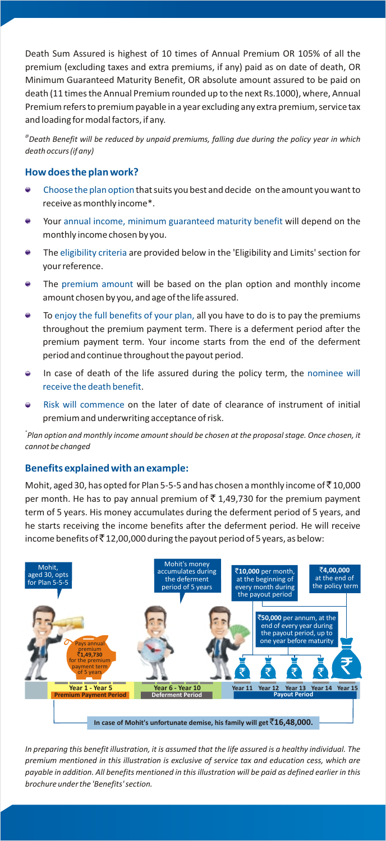Death Sum Assured is highest of 10 times of Annual Premium OR 105% of all the premium (excluding taxes and extra premiums, if any) paid as on date of death, OR Minimum Guaranteed Maturity Benefit, OR absolute amount assured to be paid on death (11 times the Annual Premium rounded up to the next Rs.1000), where, Annual Premium refers to premium payable in a year excluding any extra premium, service tax and loading for modal factors, if any.

*@ Death Benefit will be reduced by unpaid premiums, falling due during the policy year in which death occurs (if any)*

### **How does the plan work?**

- $\bullet$  Choose the plan option that suits you best and decide  $\,$  on the amount you want to  $\,$ receive as monthly income\*.
- $\bullet$  Your annual income, minimum guaranteed maturity benefit will depend on the monthly income chosen by you.
- $\bullet$  The eligibility criteria are provided below in the 'Eligibility and Limits' section for your reference.
- $\bullet$  The premium amount will be based on the plan option and monthly income amount chosen by you, and age of the life assured.
- $\bullet$  To enjoy the full benefits of your plan, all you have to do is to pay the premiums throughout the premium payment term. There is a deferment period after the premium payment term. Your income starts from the end of the deferment period and continue throughout the payout period.
- In case of death of the life assured during the policy term, the nominee will . receive the death benefit
- $\bullet$  Risk will commence on the later of date of clearance of instrument of initial premium and underwriting acceptance of risk.

*\* Plan option and monthly income amount should be chosen at the proposal stage. Once chosen, it cannot be changed*

### **Benefits explained with an example:**

Mohit, aged 30, has opted for Plan 5-5-5 and has chosen a monthly income of  $\bar{5}$  10,000 per month. He has to pay annual premium of  $\bar{\tau}$  1,49,730 for the premium payment term of 5 years. His money accumulates during the deferment period of 5 years, and he starts receiving the income benefits after the deferment period. He will receive income benefits of  $\bar{z}$  12,00,000 during the payout period of 5 years, as below:



*In preparing this benefit illustration, it is assumed that the life assured is a healthy individual. The premium mentioned in this illustration is exclusive of service tax and education cess, which are payable in addition. All benefits mentioned in this illustration will be paid as defined earlier in this brochure under the 'Benefits' section.*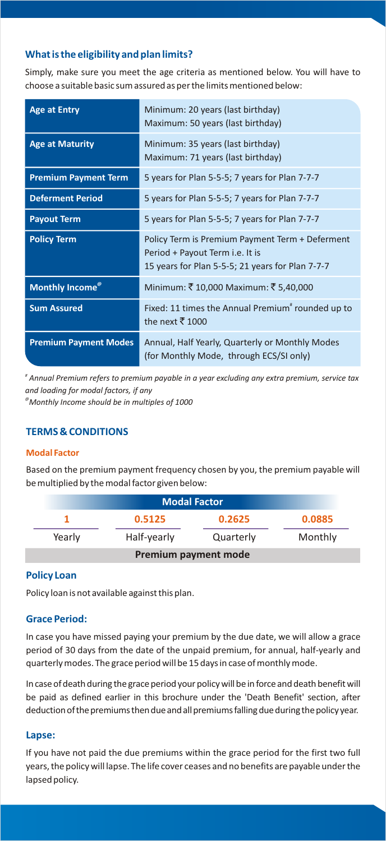# **What is the eligibility and plan limits?**

Simply, make sure you meet the age criteria as mentioned below. You will have to choose a suitable basic sum assured as per the limits mentioned below:

| <b>Age at Entry</b>          | Minimum: 20 years (last birthday)<br>Maximum: 50 years (last birthday)                                                                 |
|------------------------------|----------------------------------------------------------------------------------------------------------------------------------------|
| <b>Age at Maturity</b>       | Minimum: 35 years (last birthday)<br>Maximum: 71 years (last birthday)                                                                 |
| <b>Premium Payment Term</b>  | 5 years for Plan 5-5-5; 7 years for Plan 7-7-7                                                                                         |
| <b>Deferment Period</b>      | 5 years for Plan 5-5-5; 7 years for Plan 7-7-7                                                                                         |
| <b>Payout Term</b>           | 5 years for Plan 5-5-5; 7 years for Plan 7-7-7                                                                                         |
| <b>Policy Term</b>           | Policy Term is Premium Payment Term + Deferment<br>Period + Payout Term i.e. It is<br>15 years for Plan 5-5-5; 21 years for Plan 7-7-7 |
| Monthly Income <sup>®</sup>  | Minimum: ₹10,000 Maximum: ₹5,40,000                                                                                                    |
| <b>Sum Assured</b>           | Fixed: 11 times the Annual Premium" rounded up to<br>the next $\overline{5}$ 1000                                                      |
| <b>Premium Payment Modes</b> | Annual, Half Yearly, Quarterly or Monthly Modes<br>(for Monthly Mode, through ECS/SI only)                                             |

*# Annual Premium refers to premium payable in a year excluding any extra premium, service tax and loading for modal factors, if any*

*@Monthly Income should be in multiples of 1000*

# **TERMS & CONDITIONS**

#### **Modal Factor**

Based on the premium payment frequency chosen by you, the premium payable will be multiplied by the modal factor given below:

| <b>Modal Factor</b>        |             |           |         |  |  |  |  |  |  |  |  |
|----------------------------|-------------|-----------|---------|--|--|--|--|--|--|--|--|
| 0.0885<br>0.5125<br>0.2625 |             |           |         |  |  |  |  |  |  |  |  |
| Yearly                     | Half-yearly | Quarterly | Monthly |  |  |  |  |  |  |  |  |
| Premium payment mode       |             |           |         |  |  |  |  |  |  |  |  |

# **Policy Loan**

Policy loan is not available against this plan.

### **Grace Period:**

In case you have missed paying your premium by the due date, we will allow a grace period of 30 days from the date of the unpaid premium, for annual, half-yearly and quarterly modes. The grace period will be 15 days in case of monthly mode.

In case of death during the grace period your policy will be in force and death benefit will be paid as defined earlier in this brochure under the 'Death Benefit' section, after deduction of the premiums then due and all premiums falling due during the policy year.

#### **Lapse:**

If you have not paid the due premiums within the grace period for the first two full years, the policy will lapse. The life cover ceases and no benefits are payable under the lapsed policy.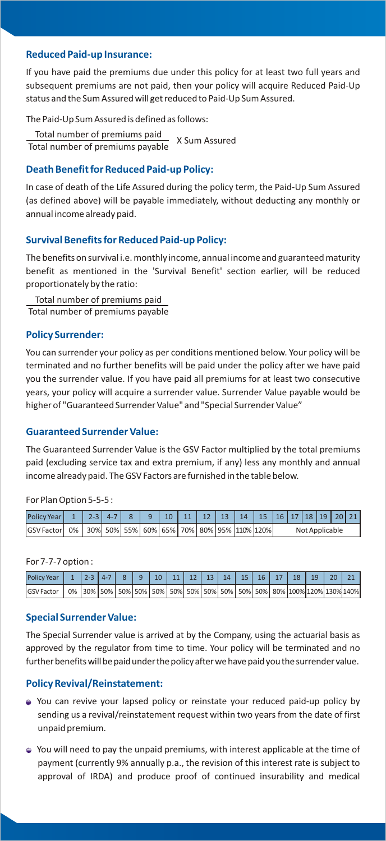### **Reduced Paid-up Insurance:**

If you have paid the premiums due under this policy for at least two full years and subsequent premiums are not paid, then your policy will acquire Reduced Paid-Up status and the Sum Assured will get reduced to Paid-Up Sum Assured.

The Paid-Up Sum Assured is defined as follows:

Total number of premiums paid **Total number of premiums paid** X Sum Assured<br>Total number of premiums payable

#### **Death Benefit for Reduced Paid-up Policy:**

In case of death of the Life Assured during the policy term, the Paid-Up Sum Assured (as defined above) will be payable immediately, without deducting any monthly or annual income already paid.

## **Survival Benefits for Reduced Paid-up Policy:**

The benefits on survival i.e. monthly income, annual income and guaranteed maturity benefit as mentioned in the 'Survival Benefit' section earlier, will be reduced proportionately by the ratio:

Total number of premiums paid Total number of premiums payable

#### **Policy Surrender:**

You can surrender your policy as per conditions mentioned below. Your policy will be terminated and no further benefits will be paid under the policy after we have paid you the surrender value. If you have paid all premiums for at least two consecutive years, your policy will acquire a surrender value. Surrender Value payable would be higher of "Guaranteed Surrender Value" and "Special Surrender Value"

### **Guaranteed Surrender Value:**

The Guaranteed Surrender Value is the GSV Factor multiplied by the total premiums paid (excluding service tax and extra premium, if any) less any monthly and annual income already paid. The GSV Factors are furnished in the table below.

For Plan Option 5-5-5 :

| <b>Policy Year I</b>                                               |  | $2 - 3$ 4-7 | $\begin{array}{ccc} \end{array}$ | $\vert$ 10 |  |  | 11   12   13   14   15   16   17   18   19   20   21 |                |  |  |  |  |  |
|--------------------------------------------------------------------|--|-------------|----------------------------------|------------|--|--|------------------------------------------------------|----------------|--|--|--|--|--|
| GSV Factor  0%   30%  50%  55%  60%  65%  70%  80%  95%  110% 120% |  |             |                                  |            |  |  |                                                      | Not Applicable |  |  |  |  |  |

#### For 7-7-7 option :

| Policy Year   1   2-3   4-7   8   9   10   11   12   13   14   15   16   17   18   19   20   21              |  |  |  |  |  |  |  |  |  |
|--------------------------------------------------------------------------------------------------------------|--|--|--|--|--|--|--|--|--|
| GSV Factor   0%   30%   50%   50%   50%   50%   50%   50%   50%   50%   50%   50%   80%   100%   120%   130% |  |  |  |  |  |  |  |  |  |

#### **Special Surrender Value:**

The Special Surrender value is arrived at by the Company, using the actuarial basis as approved by the regulator from time to time. Your policy will be terminated and no further benefits will be paid under the policy after we have paid you the surrender value.

# **Policy Revival/Reinstatement:**

- You can revive your lapsed policy or reinstate your reduced paid-up policy by sending us a revival/reinstatement request within two years from the date of first unpaid premium.
- You will need to pay the unpaid premiums, with interest applicable at the time of payment (currently 9% annually p.a., the revision of this interest rate is subject to approval of IRDA) and produce proof of continued insurability and medical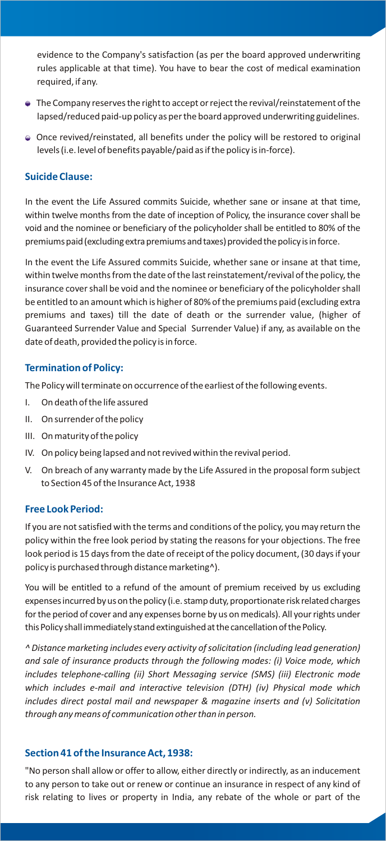evidence to the Company's satisfaction (as per the board approved underwriting rules applicable at that time). You have to bear the cost of medical examination required, if any.

- The Company reserves the right to accept or reject the revival/reinstatement of the lapsed/reduced paid-up policy as per the board approved underwriting guidelines.
- Once revived/reinstated, all benefits under the policy will be restored to original levels (i.e. level of benefits payable/paid as if the policy is in-force).

## **Suicide Clause:**

In the event the Life Assured commits Suicide, whether sane or insane at that time, within twelve months from the date of inception of Policy, the insurance cover shall be void and the nominee or beneficiary of the policyholder shall be entitled to 80% of the premiums paid (excluding extra premiums and taxes) provided the policy is in force.

In the event the Life Assured commits Suicide, whether sane or insane at that time, within twelve months from the date of the last reinstatement/revival of the policy, the insurance cover shall be void and the nominee or beneficiary of the policyholder shall be entitled to an amount which is higher of 80% of the premiums paid (excluding extra premiums and taxes) till the date of death or the surrender value, (higher of Guaranteed Surrender Value and Special Surrender Value) if any, as available on the date of death, provided the policy is in force.

# **Termination of Policy:**

The Policy will terminate on occurrence of the earliest of the following events.

- I. On death of the life assured
- II. On surrender of the policy
- III. On maturity of the policy
- IV. On policy being lapsed and not revived within the revival period.
- V. On breach of any warranty made by the Life Assured in the proposal form subject to Section 45 of the Insurance Act, 1938

### **Free Look Period:**

If you are not satisfied with the terms and conditions of the policy, you may return the policy within the free look period by stating the reasons for your objections. The free look period is 15 days from the date of receipt of the policy document, (30 days if your policy is purchased through distance marketing^).

You will be entitled to a refund of the amount of premium received by us excluding expenses incurred by us on the policy (i.e. stamp duty, proportionate risk related charges for the period of cover and any expenses borne by us on medicals). All your rights under this Policy shall immediately stand extinguished at the cancellation of the Policy.

*^ Distance marketing includes every activity of solicitation (including lead generation) and sale of insurance products through the following modes: (i) Voice mode, which includes telephone-calling (ii) Short Messaging service (SMS) (iii) Electronic mode which includes e-mail and interactive television (DTH) (iv) Physical mode which includes direct postal mail and newspaper & magazine inserts and (v) Solicitation through any means of communication other than in person.*

### **Section 41 of the Insurance Act, 1938:**

"No person shall allow or offer to allow, either directly or indirectly, as an inducement to any person to take out or renew or continue an insurance in respect of any kind of risk relating to lives or property in India, any rebate of the whole or part of the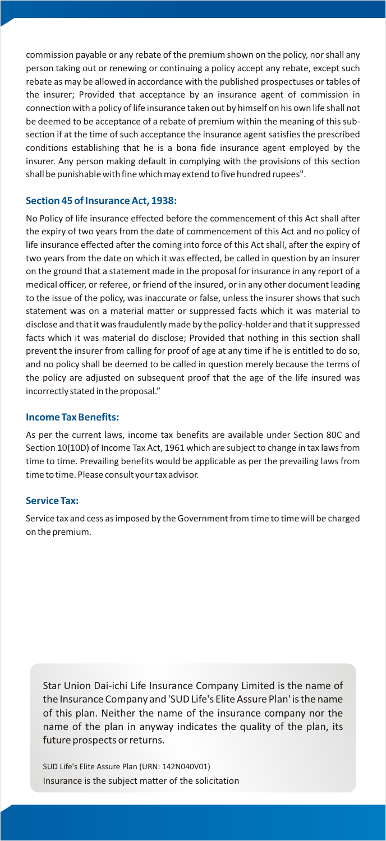commission payable or any rebate of the premium shown on the policy, nor shall any person taking out or renewing or continuing a policy accept any rebate, except such rebate as may be allowed in accordance with the published prospectuses or tables of the insurer; Provided that acceptance by an insurance agent of commission in connection with a policy of life insurance taken out by himself on his own life shall not be deemed to be acceptance of a rebate of premium within the meaning of this subsection if at the time of such acceptance the insurance agent satisfies the prescribed conditions establishing that he is a bona fide insurance agent employed by the insurer. Any person making default in complying with the provisions of this section shall be punishable with fine which may extend to five hundred rupees".

# **Section 45 of Insurance Act, 1938:**

No Policy of life insurance effected before the commencement of this Act shall after the expiry of two years from the date of commencement of this Act and no policy of life insurance effected after the coming into force of this Act shall, after the expiry of two years from the date on which it was effected, be called in question by an insurer on the ground that a statement made in the proposal for insurance in any report of a medical officer, or referee, or friend of the insured, or in any other document leading to the issue of the policy, was inaccurate or false, unless the insurer shows that such statement was on a material matter or suppressed facts which it was material to disclose and that it was fraudulently made by the policy-holder and that it suppressed facts which it was material do disclose; Provided that nothing in this section shall prevent the insurer from calling for proof of age at any time if he is entitled to do so, and no policy shall be deemed to be called in question merely because the terms of the policy are adjusted on subsequent proof that the age of the life insured was incorrectly stated in the proposal."

#### **Income Tax Benefits:**

As per the current laws, income tax benefits are available under Section 80C and Section 10(10D) of Income Tax Act, 1961 which are subject to change in tax laws from time to time. Prevailing benefits would be applicable as per the prevailing laws from time to time. Please consult your tax advisor.

#### **Service Tax:**

Service tax and cess as imposed by the Government from time to time will be charged on the premium.

Star Union Dai-ichi Life Insurance Company Limited is the name of the Insurance Company and 'SUD Life's Elite Assure Plan' is the name of this plan. Neither the name of the insurance company nor the name of the plan in anyway indicates the quality of the plan, its future prospects or returns.

SUD Life's Elite Assure Plan (URN: 142N040V01) Insurance is the subject matter of the solicitation